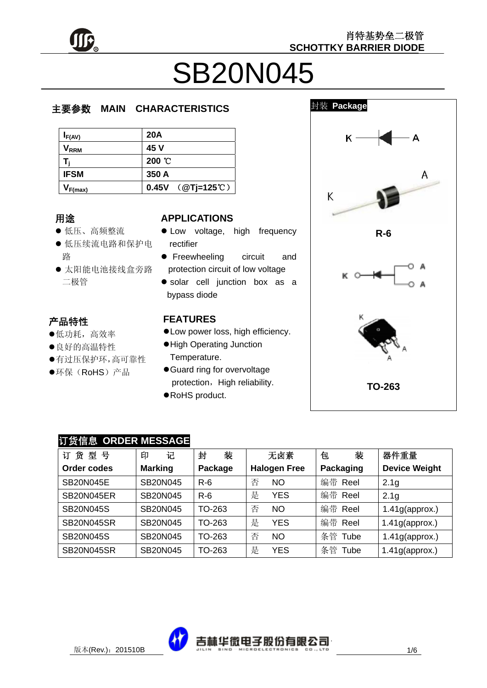

# SB20N045

# 主要参数 **MAIN CHARACTERISTICS**

| $I_{F(AV)}$                 | <b>20A</b>       |
|-----------------------------|------------------|
| $\mathsf{V}_{\mathsf{RRM}}$ | 45 V             |
|                             | 200 °C           |
| <b>IFSM</b>                 | 350 A            |
| $V_{F(max)}$                | 0.45V (@Tj=125℃) |

# 用途

- л.æ<br>● 低压、高频整流
- .v<br>r z 低压续流电路和保护电 路
- ☆<br>● 太阳能电池接线盒旁路 ું 二极管

#### j. 产品特性<br>。"可长

- z低功耗,高效率
- 良好的高温特性
- 及幻的問溫的 正<br>●有过压保护环,高可靠性 ر د<br>.
- ●环保(RoHS)产品

#### **APPLICATIONS**

- Low voltage, high frequency rectifier
- **•** Freewheeling circuit and protection circuit of low voltage
- solar cell junction box as a bypass diode

## **FEATURES**

- $\bullet$  Low power loss, high efficiency.
- $\bullet$  High Operating Junction Temperature.
- **Guard ring for overvoltage** protection, High reliability.
- RoHS product.



# 订货信息 **ORDER MESSAGE**

| 货<br>뮥<br>型<br>订  | 记<br>印          | 装<br>封  | 无卤素                 | 装<br>包           | 器件重量                 |
|-------------------|-----------------|---------|---------------------|------------------|----------------------|
| Order codes       | <b>Marking</b>  | Package | <b>Halogen Free</b> | <b>Packaging</b> | <b>Device Weight</b> |
| <b>SB20N045E</b>  | <b>SB20N045</b> | $R-6$   | 否<br><b>NO</b>      | 编带 Reel          | 2.1 <sub>g</sub>     |
| SB20N045ER        | <b>SB20N045</b> | $R-6$   | 是<br><b>YES</b>     | 编带 Reel          | 2.1 <sub>g</sub>     |
| <b>SB20N045S</b>  | <b>SB20N045</b> | TO-263  | 否<br><b>NO</b>      | 编带 Reel          | $1.41$ g(approx.)    |
| <b>SB20N045SR</b> | <b>SB20N045</b> | TO-263  | 是<br><b>YES</b>     | 编带 Reel          | $1.41g$ (approx.)    |
| <b>SB20N045S</b>  | <b>SB20N045</b> | TO-263  | 否<br><b>NO</b>      | 条管<br>Tube       | $1.41$ g(approx.)    |
| <b>SB20N045SR</b> | SB20N045        | TO-263  | 是<br>YES            | 条管<br>Tube       | $1.41$ g(approx.)    |

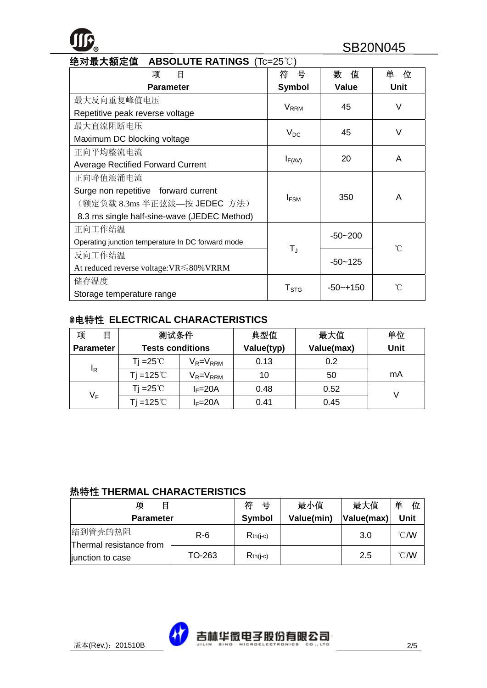# **ROLLITE BATINGS (To 25°C)** SB20N045

| 绝对最大额定值 ABSOLUTE RATINGS (Tc=25℃)                 |                         |               |             |  |  |  |
|---------------------------------------------------|-------------------------|---------------|-------------|--|--|--|
| 项<br>目                                            | 뮥<br>符                  | 数<br>值        | 单<br>位      |  |  |  |
| <b>Parameter</b>                                  | <b>Symbol</b>           | <b>Value</b>  | <b>Unit</b> |  |  |  |
| 最大反向重复峰值电压                                        |                         | 45            | V           |  |  |  |
| Repetitive peak reverse voltage                   | <b>V</b> <sub>RRM</sub> |               |             |  |  |  |
| 最大直流阻断电压                                          |                         | 45            | $\vee$      |  |  |  |
| Maximum DC blocking voltage                       | $V_{DC}$                |               |             |  |  |  |
| 正向平均整流电流                                          |                         | 20            | A           |  |  |  |
| <b>Average Rectified Forward Current</b>          | $I_{F(AV)}$             |               |             |  |  |  |
| 正向峰值浪涌电流                                          |                         |               |             |  |  |  |
| Surge non repetitive forward current              |                         | 350           | A           |  |  |  |
| (额定负载 8.3ms 半正弦波—按 JEDEC 方法)                      | $I_{FSM}$               |               |             |  |  |  |
| 8.3 ms single half-sine-wave (JEDEC Method)       |                         |               |             |  |  |  |
| 正向工作结温                                            |                         | $-50 - 200$   |             |  |  |  |
| Operating junction temperature In DC forward mode | $T_{J}$                 |               | °C          |  |  |  |
| 反向工作结温                                            |                         | $-50 - 125$   |             |  |  |  |
| At reduced reverse voltage: $VR \le 80\%$ VRRM    |                         |               |             |  |  |  |
| 储存温度                                              |                         | $-50 - + 150$ | °∩°         |  |  |  |
| Storage temperature range                         | $T_{\mathtt{STG}}$      |               |             |  |  |  |

## @电特性 **ELECTRICAL CHARACTERISTICS**

| 项<br>目           | 测试条件                    |                 | 典型值        | 最大值        | 单位          |
|------------------|-------------------------|-----------------|------------|------------|-------------|
| <b>Parameter</b> | <b>Tests conditions</b> |                 | Value(typ) | Value(max) | <b>Unit</b> |
|                  | Ti =25℃.                | $V_R = V_{RRM}$ | 0.13       | 0.2        |             |
| ΙŖ               | Ti =125℃                | $V_R = V_{RRM}$ | 10         | 50         | mA          |
|                  | Ti =25℃                 | $I_F = 20A$     | 0.48       | 0.52       |             |
| VF               | Ti =125 $\degree$ C     | $I_F = 20A$     | 0.41       | 0.45       |             |

#### 热特性 **THERMAL CHARACTERISTICS**

| 项<br>目                             |        | 符<br>뮥        | 最小值        | 最大值        | 单<br>位         |
|------------------------------------|--------|---------------|------------|------------|----------------|
| <b>Parameter</b>                   |        | <b>Symbol</b> | Value(min) | Value(max) | Unit           |
| 结到管壳的热阻<br>Thermal resistance from | $R-6$  | $Rth(i-c)$    |            | 3.0        | $^{\circ}$ C/W |
| junction to case                   | TO-263 | $Rth(i-c)$    |            | 2.5        | $^{\circ}$ C/W |

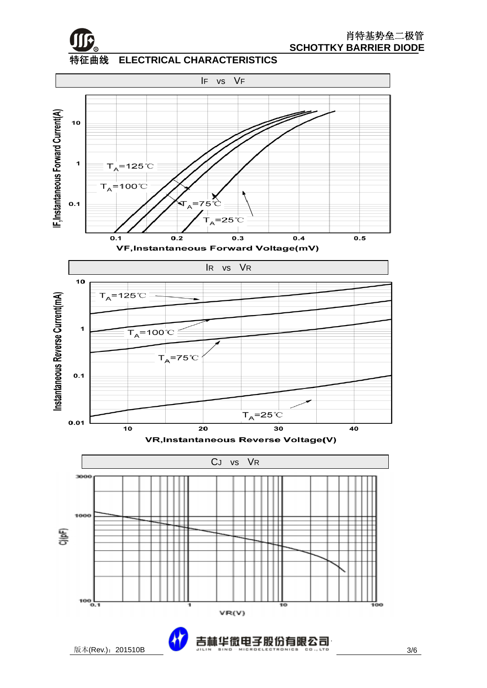

特征曲线 **ELECTRICAL CHARACTERISTICS** 



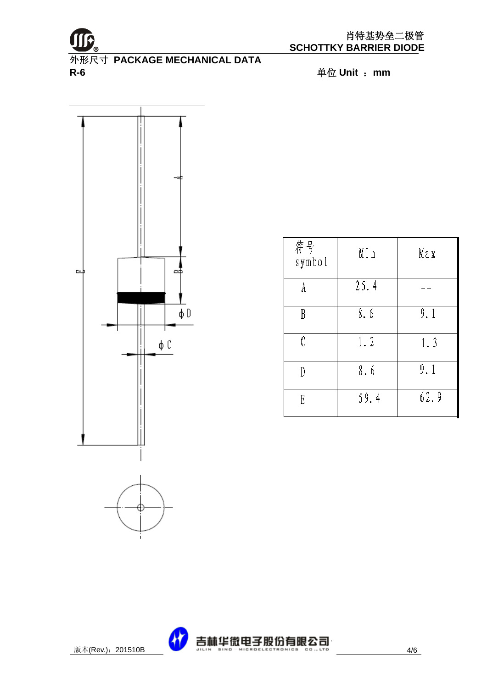

外形尺寸 **PACKAGE MECHANICAL DATA R-6** 单位 **Unit** :**mm** 



| 符号<br>symbol | Min  | Max  |
|--------------|------|------|
|              | 25.4 |      |
| B            | 8.6  | 9.1  |
| Ċ            | 1.2  | 1.3  |
|              | 8.6  | 9.1  |
| E            | 59.4 | 62.9 |

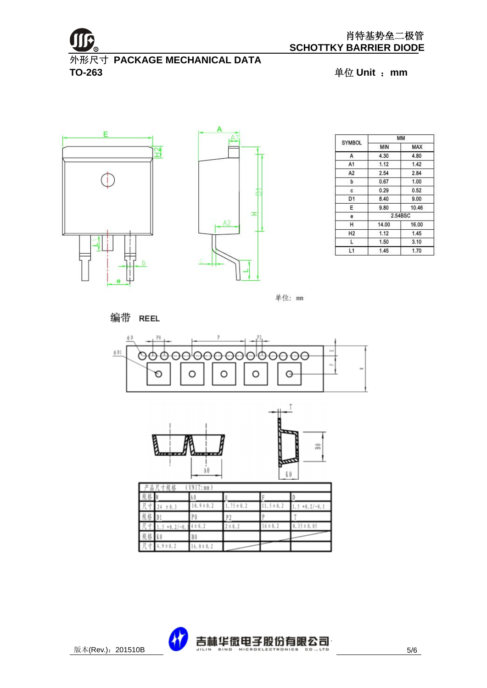

外形尺寸 **PACKAGE MECHANICAL DATA TO-263** 单位 **Unit** :**mm** 





|                |       | MM         |
|----------------|-------|------------|
| <b>SYMBOL</b>  | MIN   | <b>MAX</b> |
| А              | 4.30  | 4.80       |
| A1             | 1.12  | 1.42       |
| A <sub>2</sub> | 2.54  | 2.84       |
| b              | 0.67  | 1.00       |
| c              | 0.29  | 0.52       |
| D <sub>1</sub> | 8.40  | 9.00       |
| E              | 9.80  | 10.46      |
| е              |       | 2.54BSC    |
| H              | 14.00 | 16.00      |
| H <sub>2</sub> | 1.12  | 1.45       |
| L              | 1.50  | 3.10       |
| L1             | 1.45  | 1.70       |

单位: mm

编带 REEL







|    | UNIT: nn<br>R<br>볾<br>寸规格 |               |               |               |                        |  |
|----|---------------------------|---------------|---------------|---------------|------------------------|--|
|    |                           |               |               |               |                        |  |
|    | ± 0.3                     | $0.9 \pm 0.2$ | $.15 \pm 0.2$ | $1.5 \pm 0.2$ | $+0.2/-0.1$<br>5.<br>× |  |
| 児俗 |                           |               |               |               |                        |  |
|    | $+0.2/-0.$                | ± 0.2         | ± 0.2         | $6 \pm 0.2$   | $0.35 \pm 0.05$        |  |
| 现格 |                           | B O           |               |               |                        |  |
|    | $9 \pm 0.2$               | $6.0 \pm 0.2$ |               |               |                        |  |